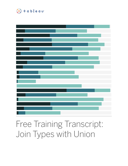



# Free Training Transcript: Join Types with Union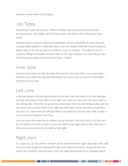Welcome to this video on Join Types.

# Join Types

Depending on your data source, Tableau Desktop offers several options for joins, including Inner, Left, Right, and Full Outer Joins. But what do the various join types mean?

Joining tables is a way of combining information (that is, new fields or columns) from multiple tables based on a field they share. Joins are always made ON a specific field (or fields). Here at the top we have two tables we want to combine. The table on the left contains sibling information, and the table on the right contains eye color information. We'll join these tables on the field they share, "name".

#### Inner Joins

An inner join preserves only the rows that have the same key field, in our case name, between both tables. We only get information for names that are listed in both tables and there are no nulls.

#### Left Joins

A left join brings in all the information for the rows from the table on the left (siblings) and any information from table on the right (eye color) for rows with the same name as the sibling table. Therefore we get all the information from the left siblings table, and for the names that are also listed in the right eye color table, Taylor and Alex, we get their eye color. If a name from the siblings table is not present in the eye color table, we get a null, such as for Shannon and Tracy.

Let's see what this looks like in Tableau. As you can see, a left join pulls in all the rows for the table on the left and fills in from the table on the right when it can, with null if that name is not present in the table on the right.

### Right Joins

In a right join, it's the reverse. We have all the names from the right (eye color) table, and for those rows we get the sibling (left table) information if it exists. As you can see, the output list of names varies between a left and right join because we're changing which